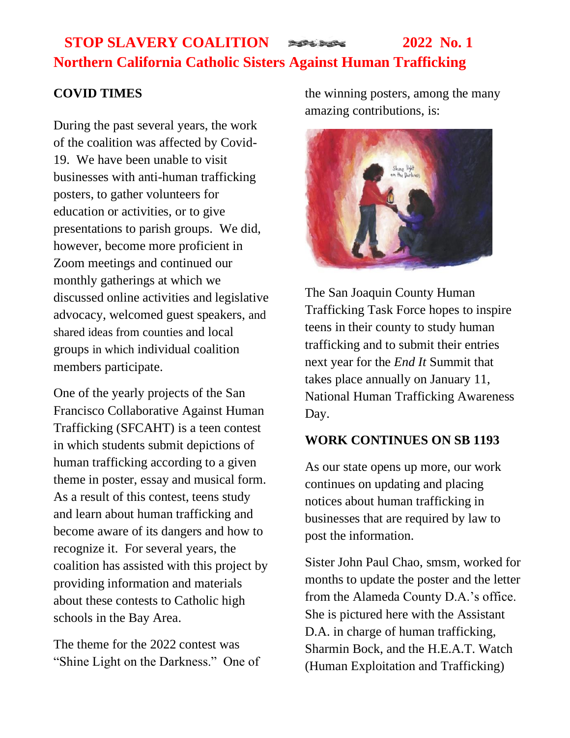# **STOP SLAVERY COALITION 2022** No. 1 **Northern California Catholic Sisters Against Human Trafficking**

## **COVID TIMES**

During the past several years, the work of the coalition was affected by Covid-19. We have been unable to visit businesses with anti-human trafficking posters, to gather volunteers for education or activities, or to give presentations to parish groups. We did, however, become more proficient in Zoom meetings and continued our monthly gatherings at which we discussed online activities and legislative advocacy, welcomed guest speakers, and shared ideas from counties and local groups in which individual coalition members participate.

One of the yearly projects of the San Francisco Collaborative Against Human Trafficking (SFCAHT) is a teen contest in which students submit depictions of human trafficking according to a given theme in poster, essay and musical form. As a result of this contest, teens study and learn about human trafficking and become aware of its dangers and how to recognize it. For several years, the coalition has assisted with this project by providing information and materials about these contests to Catholic high schools in the Bay Area.

The theme for the 2022 contest was "Shine Light on the Darkness." One of the winning posters, among the many amazing contributions, is:



The San Joaquin County Human Trafficking Task Force hopes to inspire teens in their county to study human trafficking and to submit their entries next year for the *End It* Summit that takes place annually on January 11, National Human Trafficking Awareness Day.

#### **WORK CONTINUES ON SB 1193**

As our state opens up more, our work continues on updating and placing notices about human trafficking in businesses that are required by law to post the information.

Sister John Paul Chao, smsm, worked for months to update the poster and the letter from the Alameda County D.A.'s office. She is pictured here with the Assistant D.A. in charge of human trafficking, Sharmin Bock, and the H.E.A.T. Watch (Human Exploitation and Trafficking)